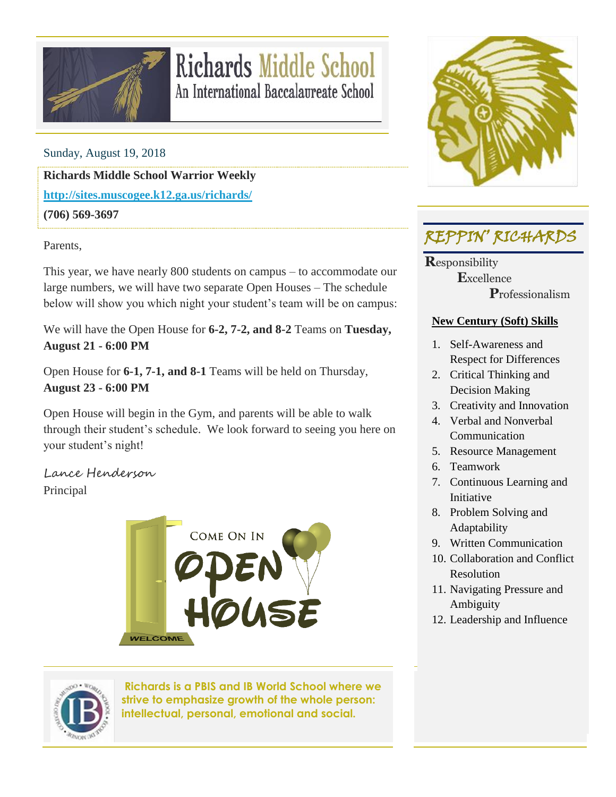

## **Richards Middle School** An International Baccalaureate School

Sunday, August 19, 2018

**Richards Middle School Warrior Weekly <http://sites.muscogee.k12.ga.us/richards/>**

**(706) 569-3697**

Parents,

This year, we have nearly 800 students on campus – to accommodate our large numbers, we will have two separate Open Houses – The schedule below will show you which night your student's team will be on campus:

We will have the Open House for **6-2, 7-2, and 8-2** Teams on **Tuesday, August 21 - 6:00 PM**

Open House for **6-1, 7-1, and 8-1** Teams will be held on Thursday, **August 23 - 6:00 PM**

Open House will begin in the Gym, and parents will be able to walk through their student's schedule. We look forward to seeing you here on your student's night!

Lance Henderson Principal





**Richards is a PBIS and IB World School where we strive to emphasize growth of the whole person: intellectual, personal, emotional and social.**



### REPPIN' RICHARDS

**R**esponsibility  **E**xcellence  **P**rofessionalism

#### **New Century (Soft) Skills**

- 1. Self-Awareness and Respect for Differences
- 2. Critical Thinking and Decision Making
- 3. Creativity and Innovation
- 4. Verbal and Nonverbal **Communication**
- 5. Resource Management
- 6. Teamwork
- 7. Continuous Learning and Initiative
- 8. Problem Solving and Adaptability
- 9. Written Communication
- 10. Collaboration and Conflict Resolution
- 11. Navigating Pressure and Ambiguity
- 12. Leadership and Influence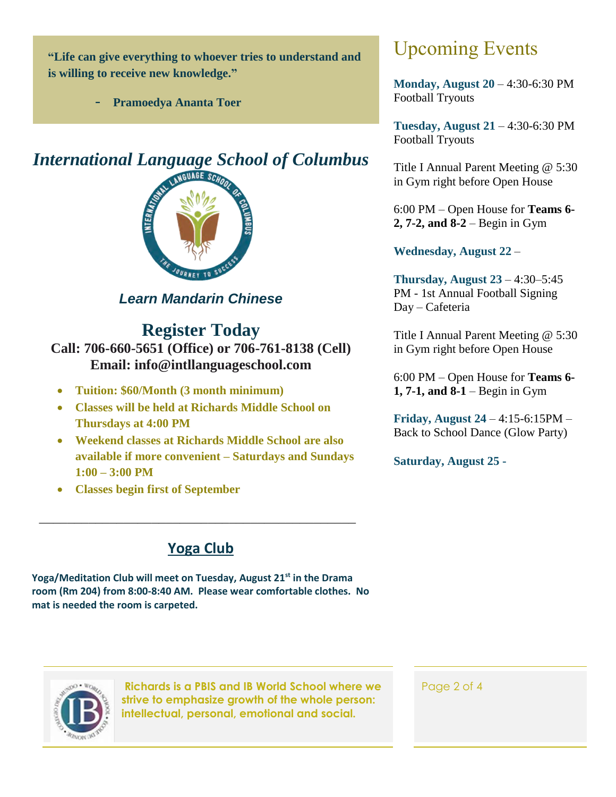**"Life can give everything to whoever tries to understand and is willing to receive new knowledge."**

- **Pramoedya Ananta Toer**

#### *International Language School of Columbus*



*Learn Mandarin Chinese*

#### **Register Today**

**Call: 706-660-5651 (Office) or 706-761-8138 (Cell) Email: info@intllanguageschool.com**

- **Tuition: \$60/Month (3 month minimum)**
- **Classes will be held at Richards Middle School on Thursdays at 4:00 PM**
- **Weekend classes at Richards Middle School are also available if more convenient – Saturdays and Sundays 1:00 – 3:00 PM**
- **Classes begin first of September**

#### **Yoga Club**

*\_\_\_\_\_\_\_\_\_\_\_\_\_\_\_\_\_\_\_\_\_\_\_\_\_\_\_\_\_\_\_\_\_\_\_\_\_\_\_\_\_\_\_\_\_*

**Yoga/Meditation Club will meet on Tuesday, August 21st in the Drama room (Rm 204) from 8:00-8:40 AM. Please wear comfortable clothes. No mat is needed the room is carpeted.**

# **2, 7-2, and 8-2** – Begin in Gym

**Wednesday, August 22** –

Upcoming Events

Football Tryouts

Football Tryouts

**Monday, August 20** – 4:30-6:30 PM

**Tuesday, August 21** – 4:30-6:30 PM

Title I Annual Parent Meeting @ 5:30 in Gym right before Open House

6:00 PM – Open House for **Teams 6-**

**Thursday, August 23** – 4:30–5:45 PM - 1st Annual Football Signing Day – Cafeteria

Title I Annual Parent Meeting @ 5:30 in Gym right before Open House

6:00 PM – Open House for **Teams 6- 1, 7-1, and 8-1** – Begin in Gym

**Friday, August 24** – 4:15-6:15PM – Back to School Dance (Glow Party)

**Saturday, August 25 -**



**Richards is a PBIS and IB World School where we strive to emphasize growth of the whole person: intellectual, personal, emotional and social.**

Page 2 of 4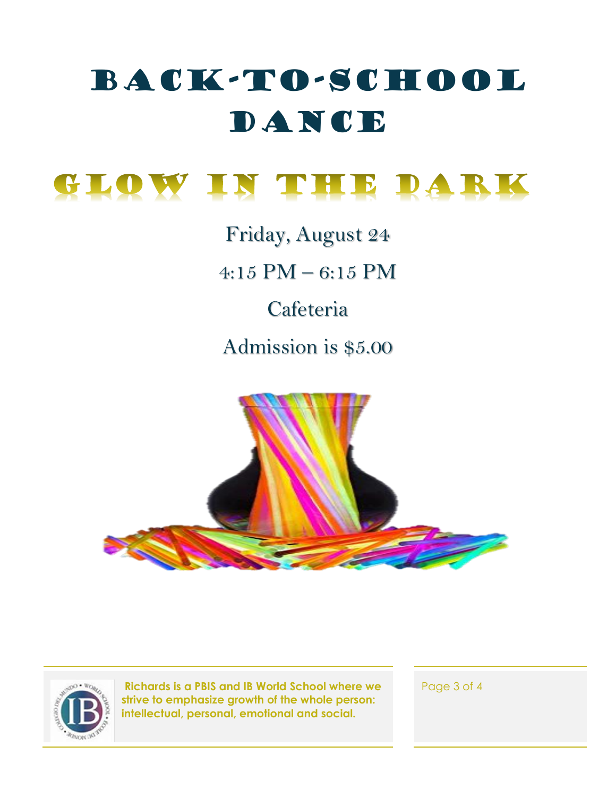# Back-To-School DANCE

GLOW IN THE DARK

Friday, August 24

4:15 PM – 6:15 PM

Cafeteria

Admission is \$5.00





**Richards is a PBIS and IB World School where we strive to emphasize growth of the whole person: intellectual, personal, emotional and social.**

Page 3 of 4